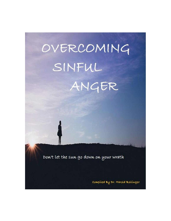

Dow't let the sun go down on your wrath

Compiled By Dr. Harold Bollinger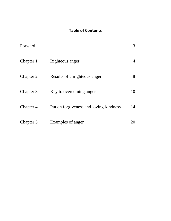## **Table of Contents**

| Forward   |                                        | 3  |
|-----------|----------------------------------------|----|
| Chapter 1 | Righteous anger                        |    |
| Chapter 2 | Results of unrighteous anger           | 8  |
| Chapter 3 | Key to overcoming anger                | 10 |
| Chapter 4 | Put on forgiveness and loving-kindness | 14 |
| Chapter 5 | Examples of anger                      |    |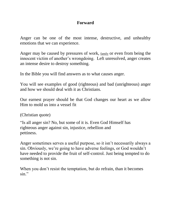## **Forward**

Anger can be one of the most intense, destructive, and unhealthy emotions that we can experience.

Anger may be caused by pressures of work,  $f_{\text{amily}}$  or even from being the innocent victim of another's wrongdoing. Left unresolved, anger creates an intense desire to destroy something.

In the Bible you will find answers as to what causes anger.

You will see examples of good (righteous) and bad (unrighteous) anger and how we should deal with it as Christians.

Our earnest prayer should be that God changes our heart as we allow Him to mold us into a vessel fit

(Christian quote)

"Is all anger sin? No, but some of it is. Even God Himself has righteous anger against sin, injustice, rebellion and pettiness.

Anger sometimes serves a useful purpose, so it isn't necessarily always a sin. Obviously, we're going to have adverse feelings, or God wouldn't have needed to provide the fruit of self-control. Just being tempted to do something is not sin.

When you don't resist the temptation, but do refrain, than it becomes sin."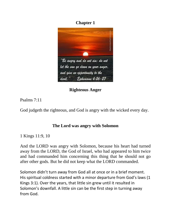# **Chapter 1**



**Righteous Anger**

Psalms 7:11

God judgeth the righteous, and God is angry with the wicked every day.

# **The Lord was angry with Solomon**

1 Kings 11:9, 10

And the LORD was angry with Solomon, because his heart had turned away from the LORD, the God of Israel, who had appeared to him twice and had commanded him concerning this thing that he should not go after other gods. But he did not keep what the LORD commanded.

Solomon didn't turn away from God all at once or in a brief moment. His spiritual coldness started with a minor departure from God's laws (1 Kings 3:1). Over the years, that little sin grew until it resulted in Solomon's downfall. A little sin can be the first step in turning away from God.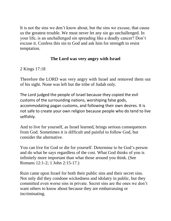It is not the sins we don't know about, but the sins we excuse, that cause us the greatest trouble. We must never let any sin go unchallenged. In your life, is an unchallenged sin spreading like a deadly cancer? Don't excuse it. Confess this sin to God and ask him for strength to resist temptation.

# **The Lord was very angry with Israel**

2 Kings 17:18

Therefore the LORD was very angry with Israel and removed them out of his sight. None was left but the tribe of Judah only.

The Lord judged the people of Israel because they copied the evil customs of the surrounding nations, worshiping false gods, accommodating pagan customs, and following their own desires. It is not safe to create your own religion because people who do tend to live selfishly.

And to live for yourself, as Israel learned, brings serious consequences from God. Sometimes it is difficult and painful to follow God, but consider the alternative.

You can live for God or die for yourself. Determine to be God's person and do what he says regardless of the cost. What God thinks of you is infinitely more important than what those around you think. (See Romans 12:1-2; 1 John 2:15-17.)

Ruin came upon Israel for both their public sins and their secret sins. Not only did they condone wickedness and idolatry in public, but they committed even worse sins in private. Secret sins are the ones we don't want others to know about because they are embarrassing or incriminating.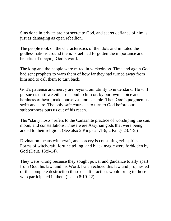Sins done in private are not secret to God, and secret defiance of him is just as damaging as open rebellion.

The people took on the characteristics of the idols and imitated the godless nations around them. Israel had forgotten the importance and benefits of obeying God's word.

The king and the people were mired in wickedness. Time and again God had sent prophets to warn them of how far they had turned away from him and to call them to turn back.

God's patience and mercy are beyond our ability to understand. He will pursue us until we either respond to him or, by our own choice and hardness of heart, make ourselves unreachable. Then God's judgment is swift and sure. The only safe course is to turn to God before our stubbornness puts us out of his reach.

The "starry hosts" refers to the Canaanite practice of worshiping the sun, moon, and constellations. These were Assyrian gods that were being added to their religion. (See also 2 Kings 21:1-6; 2 Kings 23:4-5.)

Divination means witchcraft, and sorcery is consulting evil spirits. Forms of witchcraft, fortune telling, and black magic were forbidden by God (Deut. 18:9-14).

They were wrong because they sought power and guidance totally apart from God, his law, and his Word. Isaiah echoed this law and prophesied of the complete destruction these occult practices would bring to those who participated in them (Isaiah 8:19-22).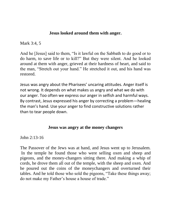### **Jesus looked around them with anger.**

Mark 3:4, 5

And he [Jesus] said to them, "Is it lawful on the Sabbath to do good or to do harm, to save life or to kill?" But they were silent. And he looked around at them with anger, grieved at their hardness of heart, and said to the man, "Stretch out your hand." He stretched it out, and his hand was restored.

Jesus was angry about the Pharisees' uncaring attitudes. Anger itself is not wrong. It depends on what makes us angry and what we do with our anger. Too often we express our anger in selfish and harmful ways. By contrast, Jesus expressed his anger by correcting a problem—healing the man's hand. Use your anger to find constructive solutions rather than to tear people down.

#### **Jesus was angry at the money changers**

John 2:13-16

The Passover of the Jews was at hand, and Jesus went up to Jerusalem. In the temple he found those who were selling oxen and sheep and pigeons, and the money-changers sitting there. And making a whip of cords, he drove them all out of the temple, with the sheep and oxen. And he poured out the coins of the moneychangers and overturned their tables. And he told those who sold the pigeons, "Take these things away; do not make my Father's house a house of trade."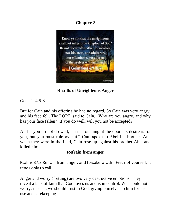# **Chapter 2**



**Results of Unrighteous Anger**

Genesis 4:5-8

But for Cain and his offering he had no regard. So Cain was very angry, and his face fell. The LORD said to Cain, "Why are you angry, and why has your face fallen? If you do well, will you not be accepted?

And if you do not do well, sin is crouching at the door. Its desire is for you, but you must rule over it." Cain spoke to Abel his brother. And when they were in the field, Cain rose up against his brother Abel and killed him.

## **Refrain from anger**

Psalms 37:8 Refrain from anger, and forsake wrath! Fret not yourself; it tends only to evil.

Anger and worry (fretting) are two very destructive emotions. They reveal a lack of faith that God loves us and is in control. We should not worry; instead, we should trust in God, giving ourselves to him for his use and safekeeping.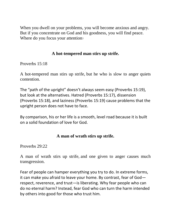When you dwell on your problems, you will become anxious and angry. But if you concentrate on God and his goodness, you will find peace. Where do you focus your attention?

## **A hot-tempered man stirs up strife.**

Proverbs 15:18

A hot-tempered man stirs up strife, but he who is slow to anger quiets contention.

The "path of the upright" doesn't always seem easy (Proverbs 15:19), but look at the alternatives. Hatred (Proverbs 15:17), dissension (Proverbs 15:18), and laziness (Proverbs 15:19) cause problems that the upright person does not have to face.

By comparison, his or her life is a smooth, level road because it is built on a solid foundation of love for God.

## **A man of wrath stirs up strife.**

Proverbs 29:22

A man of wrath stirs up strife, and one given to anger causes much transgression.

Fear of people can hamper everything you try to do. In extreme forms, it can make you afraid to leave your home. By contrast, fear of God respect, reverence, and trust—is liberating. Why fear people who can do no eternal harm? Instead, fear God who can turn the harm intended by others into good for those who trust him.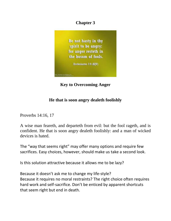# **Chapter 3**



**Key to Overcoming Anger**

# **He that is soon angry dealeth foolishly**

Proverbs 14:16, 17

A wise man feareth, and departeth from evil: but the fool rageth, and is confident. He that is soon angry dealeth foolishly: and a man of wicked devices is hated.

The "way that seems right" may offer many options and require few sacrifices. Easy choices, however, should make us take a second look.

Is this solution attractive because it allows me to be lazy?

Because it doesn't ask me to change my life-style? Because it requires no moral restraints? The right choice often requires hard work and self-sacrifice. Don't be enticed by apparent shortcuts that seem right but end in death.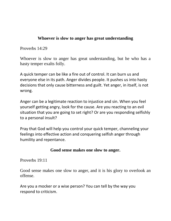### **Whoever is slow to anger has great understanding**

Proverbs 14:29

Whoever is slow to anger has great understanding, but he who has a hasty temper exalts folly.

A quick temper can be like a fire out of control. It can burn us and everyone else in its path. Anger divides people. It pushes us into hasty decisions that only cause bitterness and guilt. Yet anger, in itself, is not wrong.

Anger can be a legitimate reaction to injustice and sin. When you feel yourself getting angry, look for the cause. Are you reacting to an evil situation that you are going to set right? Or are you responding selfishly to a personal insult?

Pray that God will help you control your quick temper, channeling your feelings into effective action and conquering selfish anger through humility and repentance.

### **Good sense makes one slow to anger.**

Proverbs 19:11

Good sense makes one slow to anger, and it is his glory to overlook an offense.

Are you a mocker or a wise person? You can tell by the way you respond to criticism.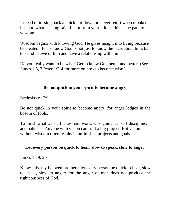Instead of tossing back a quick put-down or clever retort when rebuked, listen to what is being said. Learn from your critics; this is the path to wisdom.

Wisdom begins with knowing God. He gives insight into living because he created life. To know God is not just to know the facts about him, but to stand in awe of him and have a relationship with him.

Do you really want to be wise? Get to know God better and better. (See James 1:5, 2 Peter 1:2-4 for more on how to become wise.)

## **Be not quick in your spirit to become angry**.

Ecclesiastes 7:9

Be not quick in your spirit to become angry, for anger lodges in the bosom of fools.

To finish what we start takes hard work, wise guidance, self-discipline, and patience. Anyone with vision can start a big project. But vision without wisdom often results in unfinished projects and goals.

### **Let every person be quick to hear, slow to speak, slow to anger.**

James 1:19, 20

Know this, my beloved brothers: let every person be quick to hear, slow to speak, slow to anger; for the anger of man does not produce the righteousness of God.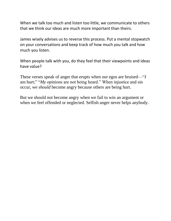When we talk too much and listen too little, we communicate to others that we think our ideas are much more important than theirs.

James wisely advises us to reverse this process. Put a mental stopwatch on your conversations and keep track of how much you talk and how much you listen.

When people talk with you, do they feel that their viewpoints and ideas have value?

These verses speak of anger that erupts when our egos are bruised—"*I* am hurt;" "*My* opinions are not being heard." When injustice and sin occur, we *should* become angry because others are being hurt.

But we should not become angry when we fail to win an argument or when we feel offended or neglected. Selfish anger never helps anybody.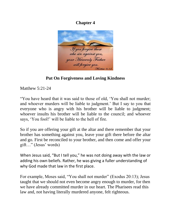# **Chapter 4**



**Put On Forgiveness and Loving Kindness**

Matthew 5:21-24

"You have heard that it was said to those of old, 'You shall not murder; and whoever murders will be liable to judgment.' But I say to you that everyone who is angry with his brother will be liable to judgment; whoever insults his brother will be liable to the council; and whoever says, 'You fool!' will be liable to the hell of fire.

So if you are offering your gift at the altar and there remember that your brother has something against you, leave your gift there before the altar and go. First be reconciled to your brother, and then come and offer your gift…" (Jesus' words)

When Jesus said, "But I tell you," he was not doing away with the law or adding his own beliefs. Rather, he was giving a fuller understanding of why God made that law in the first place.

For example, Moses said, "You shall not murder" (Exodus 20:13); Jesus taught that we should not even become angry enough to murder, for then we have already committed murder in our heart. The Pharisees read this law and, not having literally murdered anyone, felt righteous.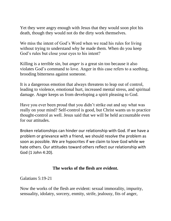Yet they were angry enough with Jesus that they would soon plot his death, though they would not do the dirty work themselves.

We miss the intent of God's Word when we read his rules for living without trying to understand why he made them. When do you keep God's rules but close your eyes to his intent?

Killing is a terrible sin, but *anger* is a great sin too because it also violates God's command to love. Anger in this case refers to a seething, brooding bitterness against someone.

It is a dangerous emotion that always threatens to leap out of control, leading to violence, emotional hurt, increased mental stress, and spiritual damage. Anger keeps us from developing a spirit pleasing to God.

Have you ever been proud that you didn't strike out and say what was really on your mind? Self-control is good, but Christ wants us to practice thought-control as well. Jesus said that we will be held accountable even for our attitudes.

Broken relationships can hinder our relationship with God. If we have a problem or grievance with a friend, we should resolve the problem as soon as possible. We are hypocrites if we claim to love God while we hate others. Our attitudes toward others reflect our relationship with God (1 John 4:20).

### **The works of the flesh are evident.**

Galatians 5:19-21

Now the works of the flesh are evident: sexual immorality, impurity, sensuality, idolatry, sorcery, enmity, strife, jealousy, fits of anger,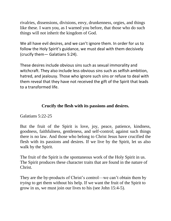rivalries, dissensions, divisions, envy, drunkenness, orgies, and things like these. I warn you, as I warned you before, that those who do such things will not inherit the kingdom of God.

We all have evil desires, and we can't ignore them. In order for us to follow the Holy Spirit's guidance, we must deal with them decisively (crucify them— Galatians 5:24).

These desires include obvious sins such as sexual immorality and witchcraft. They also include less obvious sins such as selfish ambition, hatred, and jealousy. Those who ignore such sins or refuse to deal with them reveal that they have not received the gift of the Spirit that leads to a transformed life.

# **Crucify the flesh with its passions and desires.**

Galatians 5:22-25

But the fruit of the Spirit is love, joy, peace, patience, kindness, goodness, faithfulness, gentleness, and self-control; against such things there is no law. And those who belong to Christ Jesus have crucified the flesh with its passions and desires. If we live by the Spirit, let us also walk by the Spirit.

The fruit of the Spirit is the spontaneous work of the Holy Spirit in us. The Spirit produces these character traits that are found in the nature of Christ.

They are the by-products of Christ's control—we can't obtain them by *trying* to get them without his help. If we want the fruit of the Spirit to grow in us, we must join our lives to his (see John 15:4-5).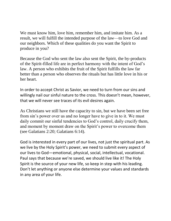We must know him, love him, remember him, and imitate him. As a result, we will fulfill the intended purpose of the law—to love God and our neighbors. Which of these qualities do you want the Spirit to produce in you?

Because the God who sent the law also sent the Spirit, the by-products of the Spirit-filled life are in perfect harmony with the intent of God's law. A person who exhibits the fruit of the Spirit fulfills the law far better than a person who observes the rituals but has little love in his or her heart.

In order to accept Christ as Savior, we need to turn from our sins and willingly nail our sinful nature to the cross. This doesn't mean, however, that we will never see traces of its evil desires again.

As Christians we still have the capacity to sin, but we have been set free from sin's power over us and no longer have to give in to it. We must daily commit our sinful tendencies to God's control, daily crucify them, and moment by moment draw on the Spirit's power to overcome them (see Galatians 2:20; Galatians 6:14).

God is interested in every part of our lives, not just the spiritual part. As we live by the Holy Spirit's power, we need to submit every aspect of our lives to God—emotional, physical, social, intellectual, vocational. Paul says that because we're saved, we should live like it! The Holy Spirit is the source of your new life, so keep in step with his leading. Don't let anything or anyone else determine your values and standards in any area of your life.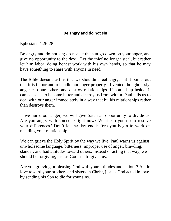### **Be angry and do not sin**

Ephesians 4:26-28

Be angry and do not sin; do not let the sun go down on your anger, and give no opportunity to the devil. Let the thief no longer steal, but rather let him labor, doing honest work with his own hands, so that he may have something to share with anyone in need.

The Bible doesn't tell us that we shouldn't feel angry, but it points out that it is important to handle our anger properly. If vented thoughtlessly, anger can hurt others and destroy relationships. If bottled up inside, it can cause us to become bitter and destroy us from within. Paul tells us to deal with our anger immediately in a way that builds relationships rather than destroys them.

If we nurse our anger, we will give Satan an opportunity to divide us. Are you angry with someone right now? What can you do to resolve your differences? Don't let the day end before you begin to work on mending your relationship.

We can grieve the Holy Spirit by the way we live. Paul warns us against unwholesome language, bitterness, improper use of anger, brawling, slander, and bad attitudes toward others. Instead of acting that way, we should be forgiving, just as God has forgiven us.

Are you grieving or pleasing God with your attitudes and actions? Act in love toward your brothers and sisters in Christ, just as God acted in love by sending his Son to die for your sins.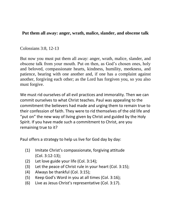### **Put them all away: anger, wrath, malice, slander, and obscene talk**

### Colossians 3:8, 12-13

But now you must put them all away: anger, wrath, malice, slander, and obscene talk from your mouth. Put on then, as God's chosen ones, holy and beloved, compassionate hearts, kindness, humility, meekness, and patience, bearing with one another and, if one has a complaint against another, forgiving each other; as the Lord has forgiven you, so you also must forgive.

We must rid ourselves of all evil practices and immorality. Then we can commit ourselves to what Christ teaches. Paul was appealing to the commitment the believers had made and urging them to remain true to their confession of faith. They were to rid themselves of the old life and "put on" the new way of living given by Christ and guided by the Holy Spirit. If you have made such a commitment to Christ, are you remaining true to it?

Paul offers a strategy to help us live for God day by day:

- (1) Imitate Christ's compassionate, forgiving attitude (Col. 3:12-13);
- (2) Let love guide your life (Col. 3:14);
- (3) Let the peace of Christ rule in your heart (Col. 3:15);
- (4) Always be thankful (Col. 3:15);
- (5) Keep God's Word in you at all times (Col. 3:16);
- (6) Live as Jesus Christ's representative (Col. 3:17).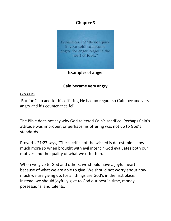# **Chapter 5**



**Examples of anger**

## **Cain became very angry**

[Genesis 4:5](http://bible.knowing-jesus.com/Genesis/4/5)

But for Cain and for his offering He had no regard so Cain became very angry and his countenance fell.

The Bible does not say why God rejected Cain's sacrifice. Perhaps Cain's attitude was improper, or perhaps his offering was not up to God's standards.

Proverbs 21:27 says, "The sacrifice of the wicked is detestable—how much more so when brought with evil intent!" God evaluates both our motives and the quality of what we offer him.

When we give to God and others, we should have a joyful heart because of what we are able to give. We should not worry about how much we are giving up, for all things are God's in the first place. Instead, we should joyfully give to God our best in time, money, possessions, and talents.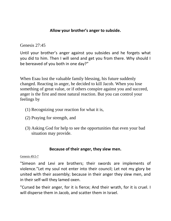### **Allow your brother's anger to subside.**

[Genesis 27:45](http://bible.knowing-jesus.com/Genesis/27/45)

Until your brother's anger against you subsides and he forgets what you did to him. Then I will send and get you from there. Why should I be bereaved of you both in one day?"

When Esau lost the valuable family blessing, his future suddenly changed. Reacting in anger, he decided to kill Jacob. When you lose something of great value, or if others conspire against you and succeed, anger is the first and most natural reaction. But you can control your feelings by

- (1) Recognizing your reaction for what it is,
- (2) Praying for strength, and
- (3) Asking God for help to see the opportunities that even your bad situation may provide.

### **Because of their anger, they slew men.**

#### [Genesis 49:5-7](http://bible.knowing-jesus.com/Genesis/49/5)

"Simeon and Levi are brothers; their swords are implements of violence."Let my soul not enter into their council; Let not my glory be united with their assembly; because in their anger they slew men, and in their self-will they lamed oxen.

"Cursed be their anger, for it is fierce; And their wrath, for it is cruel. I will disperse them in Jacob, and scatter them in Israel.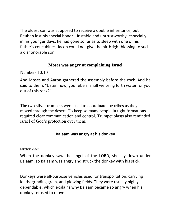The oldest son was supposed to receive a double inheritance, but Reuben lost his special honor. Unstable and untrustworthy, especially in his younger days, he had gone so far as to sleep with one of his father's concubines. Jacob could not give the birthright blessing to such a dishonorable son.

### **Moses was angry at complaining Israel**

Numbers 10:10

And Moses and Aaron gathered the assembly before the rock. And he said to them, "Listen now, you rebels; shall we bring forth water for you out of this rock?"

The two silver trumpets were used to coordinate the tribes as they moved through the desert. To keep so many people in tight formations required clear communication and control. Trumpet blasts also reminded Israel of God's protection over them.

## **Balaam was angry at his donkey**

#### [Numbers 22:27](http://bible.knowing-jesus.com/Numbers/22/27)

When the donkey saw the angel of the LORD, she lay down under Balaam; so Balaam was angry and struck the donkey with his stick.

Donkeys were all-purpose vehicles used for transportation, carrying loads, grinding grain, and plowing fields. They were usually highly dependable, which explains why Balaam became so angry when his donkey refused to move.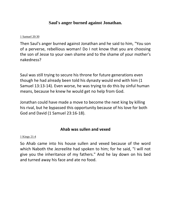## **Saul's anger burned against Jonathan.**

#### [1 Samuel 20:30](http://bible.knowing-jesus.com/1-Samuel/20/30)

Then Saul's anger burned against Jonathan and he said to him, "You son of a perverse, rebellious woman! Do I not know that you are choosing the son of Jesse to your own shame and to the shame of your mother's nakedness?

Saul was still trying to secure his throne for future generations even though he had already been told his dynasty would end with him (1 Samuel 13:13-14). Even worse, he was trying to do this by sinful human means, because he knew he would get no help from God.

Jonathan could have made a move to become the next king by killing his rival, but he bypassed this opportunity because of his love for both God and David (1 Samuel 23:16-18).

### **Ahab was sullen and vexed**

#### [1 Kings 21:4](http://bible.knowing-jesus.com/1-Kings/21/4)

So Ahab came into his house sullen and vexed because of the word which Naboth the Jezreelite had spoken to him; for he said, "I will not give you the inheritance of my fathers." And he lay down on his bed and turned away his face and ate no food.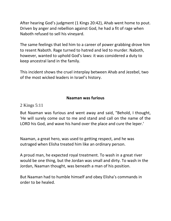After hearing God's judgment (1 Kings 20:42), Ahab went home to pout. Driven by anger and rebellion against God, he had a fit of rage when Naboth refused to sell his vineyard.

The same feelings that led him to a career of power grabbing drove him to resent Naboth. Rage turned to hatred and led to murder. Naboth, however, wanted to uphold God's laws: it was considered a duty to keep ancestral land in the family.

This incident shows the cruel interplay between Ahab and Jezebel, two of the most wicked leaders in Israel's history.

### **Naaman was furious**

[2 Kings 5:11](http://bible.knowing-jesus.com/2-Kings/5/11)

But Naaman was furious and went away and said, "Behold, I thought, 'He will surely come out to me and stand and call on the name of the LORD his God, and wave his hand over the place and cure the leper.'

Naaman, a great hero, was used to getting respect, and he was outraged when Elisha treated him like an ordinary person.

A proud man, he expected royal treatment. To wash in a great river would be one thing, but the Jordan was small and dirty. To wash in the Jordan, Naaman thought, was beneath a man of his position.

But Naaman had to humble himself and obey Elisha's commands in order to be healed.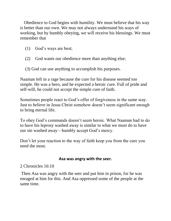Obedience to God begins with humility. We must believe that his way is better than our own. We may not always understand his ways of working, but by humbly obeying, we will receive his blessings. We must remember that

- (1) God's ways are best;
- (2) God wants our obedience more than anything else;
- (3) God can use anything to accomplish his purposes.

Naaman left in a rage because the cure for his disease seemed too simple. He was a hero, and he expected a heroic cure. Full of pride and self-will, he could not accept the simple cure of faith.

Sometimes people react to God's offer of forgiveness in the same way. Just to *believe* in Jesus Christ somehow doesn't seem significant enough to bring eternal life.

To obey God's commands doesn't seem heroic. What Naaman had to do to have his leprosy washed away is similar to what we must do to have our sin washed away—humbly accept God's mercy.

Don't let your reaction to the way of faith keep you from the cure you need the most.

### **Asa was angry with the seer.**

# [2 Chronicles 16:10](http://bible.knowing-jesus.com/2-Chronicles/16/10)

Then Asa was angry with the seer and put him in prison, for he was enraged at him for this. And Asa oppressed some of the people at the same time.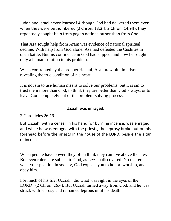Judah and Israel never learned! Although God had delivered them even when they were outnumbered (2 Chron. 13:3ff; 2 Chron. 14:9ff), they repeatedly sought help from pagan nations rather than from God.

That Asa sought help from Aram was evidence of national spiritual decline. With help from God alone, Asa had defeated the Cushites in open battle. But his confidence in God had slipped, and now he sought only a human solution to his problem.

When confronted by the prophet Hanani, Asa threw him in prison, revealing the true condition of his heart.

It is not sin to use human means to solve our problems, but it is sin to trust them more than God, to think they are better than God's ways, or to leave God completely out of the problem-solving process.

#### **Uzziah was enraged.**

### [2 Chronicles 26:19](http://bible.knowing-jesus.com/2-Chronicles/26/19)

But Uzziah, with a censer in his hand for burning incense, was enraged; and while he was enraged with the priests, the leprosy broke out on his forehead before the priests in the house of the LORD, beside the altar of incense.

When people have power, they often think they can live above the law. But even rulers are subject to God, as Uzziah discovered. No matter what your position in society, God expects you to honor, worship, and obey him.

For much of his life, Uzziah "did what was right in the eyes of the LORD" (2 Chron. 26:4). But Uzziah turned away from God, and he was struck with leprosy and remained leprous until his death.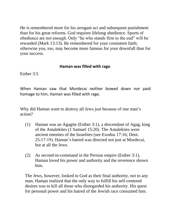He is remembered more for his arrogant act and subsequent punishment than for his great reforms. God requires lifelong obedience. Spurts of obedience are not enough. Only "he who stands firm to the end" will be rewarded (Mark 13:13). Be remembered for your consistent faith; otherwise you, too, may become more famous for your downfall than for your success.

#### **Haman was filled with rage**.

[Esther 3:5](http://bible.knowing-jesus.com/Esther/3/5)

When Haman saw that Mordecai neither bowed down nor paid homage to him, Haman was filled with rage.

Why did Haman want to destroy all Jews just because of one man's action?

- (1) Haman was an Agagite (Esther 3:1), a descendant of Agag, king of the Amalekites (1 Samuel 15:20). The Amalekites were ancient enemies of the Israelites (see Exodus 17:16; Deut. 25:17-19). Haman's hatred was directed not just at Mordecai, but at all the Jews.
- (2) As second-in-command in the Persian empire (Esther 3:1), Haman loved his power and authority and the reverence shown him.

The Jews, however, looked to God as their final authority, not to any man. Haman realized that the only way to fulfill his self-centered desires was to kill all those who disregarded his authority. His quest for personal power and his hatred of the Jewish race consumed him.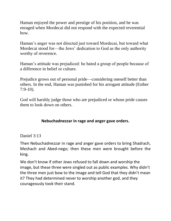Haman enjoyed the power and prestige of his position, and he was enraged when Mordecai did not respond with the expected reverential bow.

Haman's anger was not directed just toward Mordecai, but toward what Mordecai stood for—the Jews' dedication to God as the only authority worthy of reverence.

Haman's attitude was prejudiced: he hated a group of people because of a difference in belief or culture.

Prejudice grows out of personal pride—considering oneself better than others. In the end, Haman was punished for his arrogant attitude (Esther 7:9-10).

God will harshly judge those who are prejudiced or whose pride causes them to look down on others.

## **Nebuchadnezzar in rage and anger gave orders.**

[Daniel 3:13](http://bible.knowing-jesus.com/Daniel/3/13)

Then Nebuchadnezzar in rage and anger gave orders to bring Shadrach, Meshach and Abed-nego; then these men were brought before the king.

We don't know if other Jews refused to fall down and worship the image, but these three were singled out as public examples. Why didn't the three men just bow to the image and tell God that they didn't mean it? They had determined never to worship another god, and they courageously took their stand.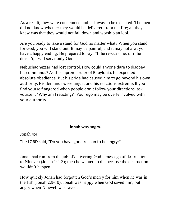As a result, they were condemned and led away to be executed. The men did not know whether they would be delivered from the fire; all they knew was that they would not fall down and worship an idol.

Are you ready to take a stand for God no matter what? When you stand for God, you will stand out. It may be painful, and it may not always have a happy ending. Be prepared to say, "If he rescues me, or if he doesn't, I will serve only God."

Nebuchadnezzar had lost control. How could anyone dare to disobey his commands? As the supreme ruler of Babylonia, he expected absolute obedience. But his pride had caused him to go beyond his own authority. His demands were unjust and his reactions extreme. If you find yourself angered when people don't follow your directions, ask yourself, "Why am I reacting?" Your ego may be overly involved with your authority.

### **Jonah was angry.**

[Jonah 4:4](http://bible.knowing-jesus.com/Jonah/4/4)

The LORD said, "Do you have good reason to be angry?"

Jonah had run from the job of delivering God's message of destruction to Nineveh (Jonah 1:2-3); then he wanted to die because the destruction wouldn't happen.

How quickly Jonah had forgotten God's mercy for him when he was in the fish (Jonah 2:9-10). Jonah was happy when God saved him, but angry when Nineveh was saved.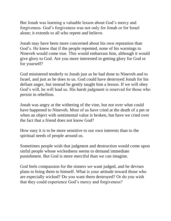But Jonah was learning a valuable lesson about God's mercy and forgiveness. God's forgiveness was not only for Jonah or for Israel alone; it extends to all who repent and believe.

Jonah may have been more concerned about his own reputation than God's. He knew that if the people repented, none of his warnings to Nineveh would come true. This would embarrass him, although it would give glory to God. Are you more interested in getting glory for God or for yourself?

God ministered tenderly to Jonah just as he had done to Nineveh and to Israel, and just as he does to us. God could have destroyed Jonah for his defiant anger, but instead he gently taught him a lesson. If we will obey God's will, he will lead us. His harsh judgment is reserved for those who persist in rebellion.

Jonah was angry at the withering of the vine, but not over what could have happened to Nineveh. Most of us have cried at the death of a pet or when an object with sentimental value is broken, but have we cried over the fact that a friend does not know God?

How easy it is to be more sensitive to our own interests than to the spiritual needs of people around us.

Sometimes people wish that judgment and destruction would come upon sinful people whose wickedness seems to demand immediate punishment. But God is more merciful than we can imagine.

God feels compassion for the sinners we want judged, and he devises plans to bring them to himself. What is your attitude toward those who are especially wicked? Do you want them destroyed? Or do you wish that they could experience God's mercy and forgiveness?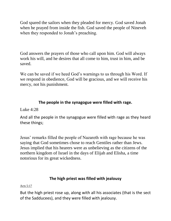God spared the sailors when they pleaded for mercy. God saved Jonah when he prayed from inside the fish. God saved the people of Nineveh when they responded to Jonah's preaching.

God answers the prayers of those who call upon him. God will always work his will, and he desires that all come to him, trust in him, and be saved.

We can be saved if we heed God's warnings to us through his Word. If we respond in obedience, God will be gracious, and we will receive his mercy, not his punishment.

## **The people in the synagogue were filled with rage.**

Luke  $4:28$ 

And all the people in the synagogue were filled with rage as they heard these things;

Jesus' remarks filled the people of Nazareth with rage because he was saying that God sometimes chose to reach Gentiles rather than Jews. Jesus implied that his hearers were as unbelieving as the citizens of the northern kingdom of Israel in the days of Elijah and Elisha, a time notorious for its great wickedness.

### **The high priest was filled with jealousy**

#### [Acts 5:17](http://bible.knowing-jesus.com/Acts/5/17)

But the high priest rose up, along with all his associates (that is the sect of the Sadducees), and they were filled with jealousy.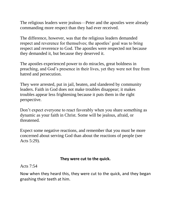The religious leaders were jealous—Peter and the apostles were already commanding more respect than they had ever received.

The difference, however, was that the religious leaders demanded respect and reverence for themselves; the apostles' goal was to bring respect and reverence to God. The apostles were respected not because they demanded it, but because they deserved it.

The apostles experienced power to do miracles, great boldness in preaching, and God's presence in their lives, yet they were not free from hatred and persecution.

They were arrested, put in jail, beaten, and slandered by community leaders. Faith in God does not make troubles disappear; it makes troubles appear less frightening because it puts them in the right perspective.

Don't expect everyone to react favorably when you share something as dynamic as your faith in Christ. Some will be jealous, afraid, or threatened.

Expect some negative reactions, and remember that you must be more concerned about serving God than about the reactions of people (see Acts 5:29).

### **They were cut to the quick.**

#### [Acts 7:54](http://bible.knowing-jesus.com/Acts/7/54)

Now when they heard this, they were cut to the quick, and they began gnashing their teeth at him.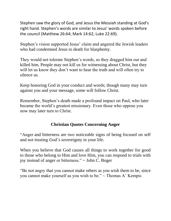Stephen saw the glory of God, and Jesus the Messiah standing at God's right hand. Stephen's words are similar to Jesus' words spoken before the council (Matthew 26:64; Mark 14:62; Luke 22:69).

Stephen's vision supported Jesus' claim and angered the Jewish leaders who had condemned Jesus to death for blasphemy.

They would not tolerate Stephen's words, so they dragged him out and killed him. People may not kill us for witnessing about Christ, but they will let us know they don't want to hear the truth and will often try to silence us.

Keep honoring God in your conduct and words; though many may turn against you and your message, some will follow Christ.

Remember, Stephen's death made a profound impact on Paul, who later became the world's greatest missionary. Even those who oppose you now may later turn to Christ.

## **Christian Quotes Concerning Anger**

"Anger and bitterness are two noticeable signs of being focused on self and not trusting God's sovereignty in your life.

When you believe that God causes all things to work together for good to those who belong to Him and love Him, you can respond to trials with joy instead of anger or bitterness." ~ John C. Boger

"Be not angry that you cannot make others as you wish them to be, since you cannot make yourself as you wish to be."  $\sim$  Thomas A' Kempis